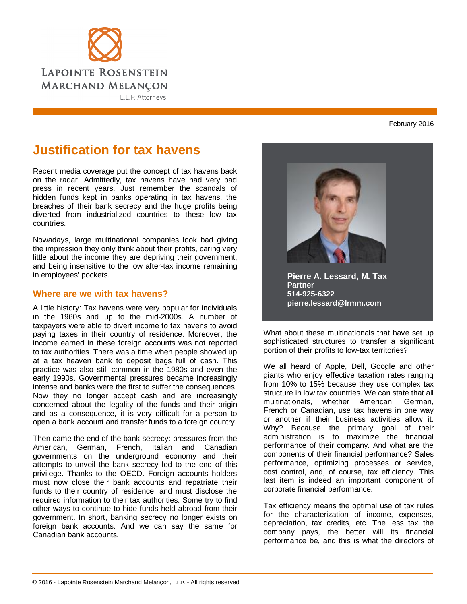

## February 2016

## **Justification for tax havens**

Recent media coverage put the concept of tax havens back on the radar. Admittedly, tax havens have had very bad press in recent years. Just remember the scandals of hidden funds kept in banks operating in tax havens, the breaches of their bank secrecy and the huge profits being diverted from industrialized countries to these low tax countries.

Nowadays, large multinational companies look bad giving the impression they only think about their profits, caring very little about the income they are depriving their government, and being insensitive to the low after-tax income remaining in employees' pockets.

## **Where are we with tax havens?**

A little history: Tax havens were very popular for individuals in the 1960s and up to the mid-2000s. A number of taxpayers were able to divert income to tax havens to avoid paying taxes in their country of residence. Moreover, the income earned in these foreign accounts was not reported to tax authorities. There was a time when people showed up at a tax heaven bank to deposit bags full of cash. This practice was also still common in the 1980s and even the early 1990s. Governmental pressures became increasingly intense and banks were the first to suffer the consequences. Now they no longer accept cash and are increasingly concerned about the legality of the funds and their origin and as a consequence, it is very difficult for a person to open a bank account and transfer funds to a foreign country.

Then came the end of the bank secrecy: pressures from the American, German, French, Italian and Canadian governments on the underground economy and their attempts to unveil the bank secrecy led to the end of this privilege. Thanks to the OECD. Foreign accounts holders must now close their bank accounts and repatriate their funds to their country of residence, and must disclose the required information to their tax authorities. Some try to find other ways to continue to hide funds held abroad from their government. In short, banking secrecy no longer exists on foreign bank accounts. And we can say the same for Canadian bank accounts.



**Pierre A. Lessard, M. Tax Partner 514-925-6322 pierre.lessard@lrmm.com**

What about these multinationals that have set up sophisticated structures to transfer a significant portion of their profits to low-tax territories?

We all heard of Apple, Dell, Google and other giants who enjoy effective taxation rates ranging from 10% to 15% because they use complex tax structure in low tax countries. We can state that all multinationals, whether American, German, French or Canadian, use tax havens in one way or another if their business activities allow it. Why? Because the primary goal of their administration is to maximize the financial performance of their company. And what are the components of their financial performance? Sales performance, optimizing processes or service, cost control, and, of course, tax efficiency. This last item is indeed an important component of corporate financial performance.

Tax efficiency means the optimal use of tax rules for the characterization of income, expenses, depreciation, tax credits, etc. The less tax the company pays, the better will its financial performance be, and this is what the directors of